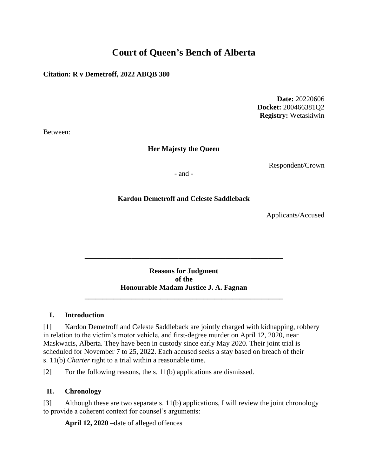# **Court of Queen's Bench of Alberta**

## **Citation: R v Demetroff, 2022 ABQB 380**

**Date:** 20220606 **Docket:** 200466381Q2 **Registry:** Wetaskiwin

Between:

# **Her Majesty the Queen**

Respondent/Crown

- and -

# **Kardon Demetroff and Celeste Saddleback**

Applicants/Accused

**Reasons for Judgment of the Honourable Madam Justice J. A. Fagnan**

**\_\_\_\_\_\_\_\_\_\_\_\_\_\_\_\_\_\_\_\_\_\_\_\_\_\_\_\_\_\_\_\_\_\_\_\_\_\_\_\_\_\_\_\_\_\_\_\_\_\_\_\_\_\_\_**

**\_\_\_\_\_\_\_\_\_\_\_\_\_\_\_\_\_\_\_\_\_\_\_\_\_\_\_\_\_\_\_\_\_\_\_\_\_\_\_\_\_\_\_\_\_\_\_\_\_\_\_\_\_\_\_**

## **I. Introduction**

[1] Kardon Demetroff and Celeste Saddleback are jointly charged with kidnapping, robbery in relation to the victim's motor vehicle, and first-degree murder on April 12, 2020, near Maskwacis, Alberta. They have been in custody since early May 2020. Their joint trial is scheduled for November 7 to 25, 2022. Each accused seeks a stay based on breach of their s. 11(b) *Charter* right to a trial within a reasonable time.

[2] For the following reasons, the s. 11(b) applications are dismissed.

# **II. Chronology**

[3] Although these are two separate s. 11(b) applications, I will review the joint chronology to provide a coherent context for counsel's arguments:

**April 12, 2020** –date of alleged offences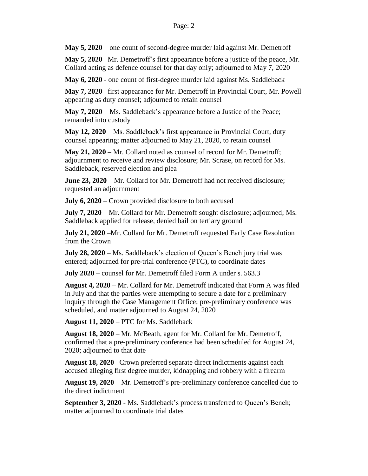**May 5, 2020** – one count of second-degree murder laid against Mr. Demetroff

**May 5, 2020** –Mr. Demetroff's first appearance before a justice of the peace, Mr. Collard acting as defence counsel for that day only; adjourned to May 7, 2020

**May 6, 2020** - one count of first-degree murder laid against Ms. Saddleback

**May 7, 2020** –first appearance for Mr. Demetroff in Provincial Court, Mr. Powell appearing as duty counsel; adjourned to retain counsel

**May 7, 2020** – Ms. Saddleback's appearance before a Justice of the Peace; remanded into custody

**May 12, 2020** – Ms. Saddleback's first appearance in Provincial Court, duty counsel appearing; matter adjourned to May 21, 2020, to retain counsel

**May 21, 2020** – Mr. Collard noted as counsel of record for Mr. Demetroff; adjournment to receive and review disclosure; Mr. Scrase, on record for Ms. Saddleback, reserved election and plea

**June 23, 2020** – Mr. Collard for Mr. Demetroff had not received disclosure; requested an adjournment

**July 6, 2020** – Crown provided disclosure to both accused

**July 7, 2020** – Mr. Collard for Mr. Demetroff sought disclosure; adjourned; Ms. Saddleback applied for release, denied bail on tertiary ground

**July 21, 2020** –Mr. Collard for Mr. Demetroff requested Early Case Resolution from the Crown

**July 28, 2020** – Ms. Saddleback's election of Queen's Bench jury trial was entered; adjourned for pre-trial conference (PTC), to coordinate dates

**July 2020 –** counsel for Mr. Demetroff filed Form A under s. 563.3

**August 4, 2020** – Mr. Collard for Mr. Demetroff indicated that Form A was filed in July and that the parties were attempting to secure a date for a preliminary inquiry through the Case Management Office; pre-preliminary conference was scheduled, and matter adjourned to August 24, 2020

**August 11, 2020** – PTC for Ms. Saddleback

**August 18, 2020** – Mr. McBeath, agent for Mr. Collard for Mr. Demetroff, confirmed that a pre-preliminary conference had been scheduled for August 24, 2020; adjourned to that date

**August 18, 2020** –Crown preferred separate direct indictments against each accused alleging first degree murder, kidnapping and robbery with a firearm

**August 19, 2020** – Mr. Demetroff's pre-preliminary conference cancelled due to the direct indictment

**September 3, 2020** - Ms. Saddleback's process transferred to Queen's Bench; matter adjourned to coordinate trial dates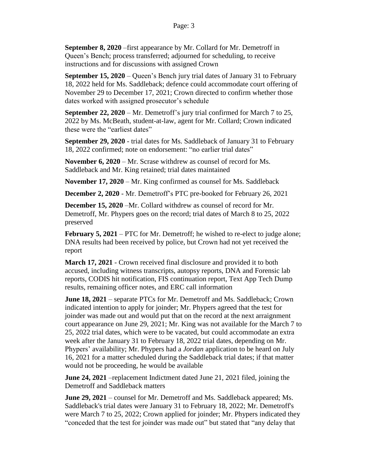**September 8, 2020** –first appearance by Mr. Collard for Mr. Demetroff in Queen's Bench; process transferred; adjourned for scheduling, to receive instructions and for discussions with assigned Crown

**September 15, 2020** – Queen's Bench jury trial dates of January 31 to February 18, 2022 held for Ms. Saddleback; defence could accommodate court offering of November 29 to December 17, 2021; Crown directed to confirm whether those dates worked with assigned prosecutor's schedule

**September 22, 2020** – Mr. Demetroff's jury trial confirmed for March 7 to 25, 2022 by Ms. McBeath, student-at-law, agent for Mr. Collard; Crown indicated these were the "earliest dates"

**September 29, 2020** - trial dates for Ms. Saddleback of January 31 to February 18, 2022 confirmed; note on endorsement: "no earlier trial dates"

**November 6, 2020** – Mr. Scrase withdrew as counsel of record for Ms. Saddleback and Mr. King retained; trial dates maintained

**November 17, 2020** – Mr. King confirmed as counsel for Ms. Saddleback

**December 2, 2020** *-* Mr. Demetroff's PTC pre-booked for February 26, 2021

**December 15, 2020** –Mr. Collard withdrew as counsel of record for Mr. Demetroff, Mr. Phypers goes on the record; trial dates of March 8 to 25, 2022 preserved

**February 5, 2021** – PTC for Mr. Demetroff; he wished to re-elect to judge alone; DNA results had been received by police, but Crown had not yet received the report

**March 17, 2021** - Crown received final disclosure and provided it to both accused, including witness transcripts, autopsy reports, DNA and Forensic lab reports, CODIS hit notification, FIS continuation report, Text App Tech Dump results, remaining officer notes, and ERC call information

**June 18, 2021** – separate PTCs for Mr. Demetroff and Ms. Saddleback; Crown indicated intention to apply for joinder; Mr. Phypers agreed that the test for joinder was made out and would put that on the record at the next arraignment court appearance on June 29, 2021; Mr. King was not available for the March 7 to 25, 2022 trial dates, which were to be vacated, but could accommodate an extra week after the January 31 to February 18, 2022 trial dates, depending on Mr. Phypers' availability; Mr. Phypers had a *Jordan* application to be heard on July 16, 2021 for a matter scheduled during the Saddleback trial dates; if that matter would not be proceeding, he would be available

**June 24, 2021** –replacement Indictment dated June 21, 2021 filed, joining the Demetroff and Saddleback matters

**June 29, 2021** – counsel for Mr. Demetroff and Ms. Saddleback appeared; Ms. Saddleback's trial dates were January 31 to February 18, 2022; Mr. Demetroff's were March 7 to 25, 2022; Crown applied for joinder; Mr. Phypers indicated they "conceded that the test for joinder was made out" but stated that "any delay that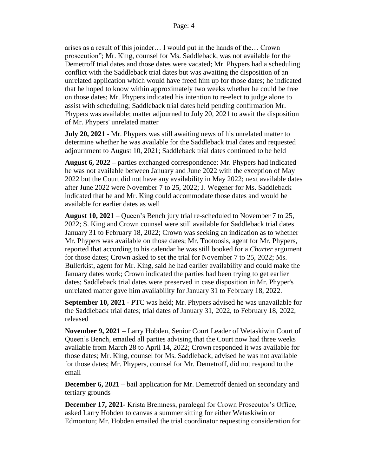arises as a result of this joinder… I would put in the hands of the… Crown prosecution"; Mr. King, counsel for Ms. Saddleback, was not available for the Demetroff trial dates and those dates were vacated; Mr. Phypers had a scheduling conflict with the Saddleback trial dates but was awaiting the disposition of an unrelated application which would have freed him up for those dates; he indicated that he hoped to know within approximately two weeks whether he could be free on those dates; Mr. Phypers indicated his intention to re-elect to judge alone to assist with scheduling; Saddleback trial dates held pending confirmation Mr. Phypers was available; matter adjourned to July 20, 2021 to await the disposition of Mr. Phypers' unrelated matter

**July 20, 2021** - Mr. Phypers was still awaiting news of his unrelated matter to determine whether he was available for the Saddleback trial dates and requested adjournment to August 10, 2021; Saddleback trial dates continued to be held

**August 6, 2022 –** parties exchanged correspondence: Mr. Phypers had indicated he was not available between January and June 2022 with the exception of May 2022 but the Court did not have any availability in May 2022; next available dates after June 2022 were November 7 to 25, 2022; J. Wegener for Ms. Saddleback indicated that he and Mr. King could accommodate those dates and would be available for earlier dates as well

**August 10, 2021** – Queen's Bench jury trial re-scheduled to November 7 to 25, 2022; S. King and Crown counsel were still available for Saddleback trial dates January 31 to February 18, 2022; Crown was seeking an indication as to whether Mr. Phypers was available on those dates; Mr. Tootoosis, agent for Mr. Phypers, reported that according to his calendar he was still booked for a *Charter* argument for those dates; Crown asked to set the trial for November 7 to 25, 2022; Ms. Bullerkist, agent for Mr. King, said he had earlier availability and could make the January dates work; Crown indicated the parties had been trying to get earlier dates; Saddleback trial dates were preserved in case disposition in Mr. Phyper's unrelated matter gave him availability for January 31 to February 18, 2022.

**September 10, 2021** - PTC was held; Mr. Phypers advised he was unavailable for the Saddleback trial dates; trial dates of January 31, 2022, to February 18, 2022, released

**November 9, 2021** – Larry Hobden, Senior Court Leader of Wetaskiwin Court of Queen's Bench, emailed all parties advising that the Court now had three weeks available from March 28 to April 14, 2022; Crown responded it was available for those dates; Mr. King, counsel for Ms. Saddleback, advised he was not available for those dates; Mr. Phypers, counsel for Mr. Demetroff, did not respond to the email

**December 6, 2021** – bail application for Mr. Demetroff denied on secondary and tertiary grounds

**December 17, 2021-** Krista Bremness, paralegal for Crown Prosecutor's Office, asked Larry Hobden to canvas a summer sitting for either Wetaskiwin or Edmonton; Mr. Hobden emailed the trial coordinator requesting consideration for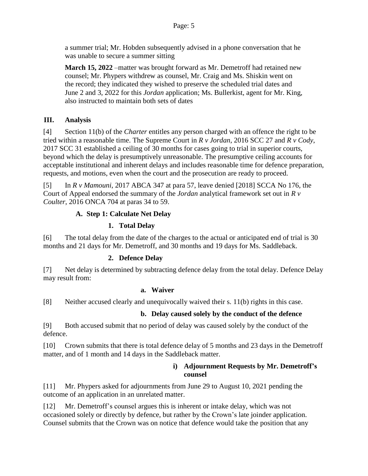a summer trial; Mr. Hobden subsequently advised in a phone conversation that he was unable to secure a summer sitting

**March 15, 2022** –matter was brought forward as Mr. Demetroff had retained new counsel; Mr. Phypers withdrew as counsel, Mr. Craig and Ms. Shiskin went on the record; they indicated they wished to preserve the scheduled trial dates and June 2 and 3, 2022 for this *Jordan* application; Ms. Bullerkist, agent for Mr. King, also instructed to maintain both sets of dates

## **III. Analysis**

[4] Section 11(b) of the *Charter* entitles any person charged with an offence the right to be tried within a reasonable time. The Supreme Court in *R v Jordan*, 2016 SCC 27 and *R v Cody*, 2017 SCC 31 established a ceiling of 30 months for cases going to trial in superior courts, beyond which the delay is presumptively unreasonable. The presumptive ceiling accounts for acceptable institutional and inherent delays and includes reasonable time for defence preparation, requests, and motions, even when the court and the prosecution are ready to proceed.

[5] In *R v Mamouni*, 2017 ABCA 347 at para 57, leave denied [2018] SCCA No 176, the Court of Appeal endorsed the summary of the *Jordan* analytical framework set out in *R v Coulter*, 2016 ONCA 704 at paras 34 to 59.

## **A. Step 1: Calculate Net Delay**

## **1. Total Delay**

[6] The total delay from the date of the charges to the actual or anticipated end of trial is 30 months and 21 days for Mr. Demetroff, and 30 months and 19 days for Ms. Saddleback.

## **2. Defence Delay**

[7] Net delay is determined by subtracting defence delay from the total delay. Defence Delay may result from:

#### **a. Waiver**

[8] Neither accused clearly and unequivocally waived their s. 11(b) rights in this case.

# **b. Delay caused solely by the conduct of the defence**

[9] Both accused submit that no period of delay was caused solely by the conduct of the defence.

[10] Crown submits that there is total defence delay of 5 months and 23 days in the Demetroff matter, and of 1 month and 14 days in the Saddleback matter.

#### **i) Adjournment Requests by Mr. Demetroff's counsel**

[11] Mr. Phypers asked for adjournments from June 29 to August 10, 2021 pending the outcome of an application in an unrelated matter.

[12] Mr. Demetroff's counsel argues this is inherent or intake delay, which was not occasioned solely or directly by defence, but rather by the Crown's late joinder application. Counsel submits that the Crown was on notice that defence would take the position that any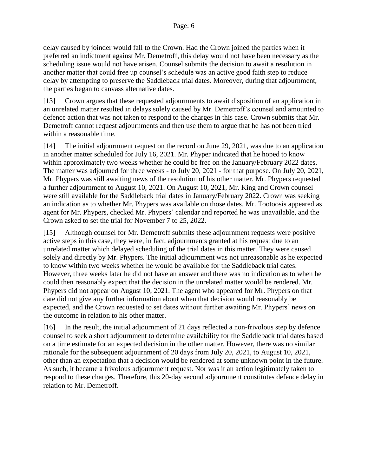delay caused by joinder would fall to the Crown. Had the Crown joined the parties when it preferred an indictment against Mr. Demetroff, this delay would not have been necessary as the scheduling issue would not have arisen. Counsel submits the decision to await a resolution in another matter that could free up counsel's schedule was an active good faith step to reduce delay by attempting to preserve the Saddleback trial dates. Moreover, during that adjournment, the parties began to canvass alternative dates.

[13] Crown argues that these requested adjournments to await disposition of an application in an unrelated matter resulted in delays solely caused by Mr. Demetroff's counsel and amounted to defence action that was not taken to respond to the charges in this case. Crown submits that Mr. Demetroff cannot request adjournments and then use them to argue that he has not been tried within a reasonable time.

[14] The initial adjournment request on the record on June 29, 2021, was due to an application in another matter scheduled for July 16, 2021. Mr. Phyper indicated that he hoped to know within approximately two weeks whether he could be free on the January/February 2022 dates. The matter was adjourned for three weeks - to July 20, 2021 - for that purpose. On July 20, 2021, Mr. Phypers was still awaiting news of the resolution of his other matter. Mr. Phypers requested a further adjournment to August 10, 2021. On August 10, 2021, Mr. King and Crown counsel were still available for the Saddleback trial dates in January/February 2022. Crown was seeking an indication as to whether Mr. Phypers was available on those dates. Mr. Tootoosis appeared as agent for Mr. Phypers, checked Mr. Phypers' calendar and reported he was unavailable, and the Crown asked to set the trial for November 7 to 25, 2022.

[15] Although counsel for Mr. Demetroff submits these adjournment requests were positive active steps in this case, they were, in fact, adjournments granted at his request due to an unrelated matter which delayed scheduling of the trial dates in this matter. They were caused solely and directly by Mr. Phypers. The initial adjournment was not unreasonable as he expected to know within two weeks whether he would be available for the Saddleback trial dates. However, three weeks later he did not have an answer and there was no indication as to when he could then reasonably expect that the decision in the unrelated matter would be rendered. Mr. Phypers did not appear on August 10, 2021. The agent who appeared for Mr. Phypers on that date did not give any further information about when that decision would reasonably be expected, and the Crown requested to set dates without further awaiting Mr. Phypers' news on the outcome in relation to his other matter.

[16] In the result, the initial adjournment of 21 days reflected a non-frivolous step by defence counsel to seek a short adjournment to determine availability for the Saddleback trial dates based on a time estimate for an expected decision in the other matter. However, there was no similar rationale for the subsequent adjournment of 20 days from July 20, 2021, to August 10, 2021, other than an expectation that a decision would be rendered at some unknown point in the future. As such, it became a frivolous adjournment request. Nor was it an action legitimately taken to respond to these charges. Therefore, this 20-day second adjournment constitutes defence delay in relation to Mr. Demetroff.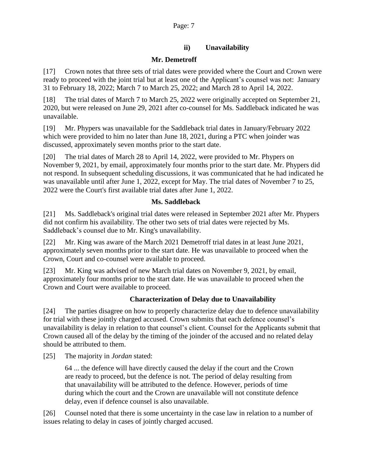## **ii) Unavailability**

## **Mr. Demetroff**

[17] Crown notes that three sets of trial dates were provided where the Court and Crown were ready to proceed with the joint trial but at least one of the Applicant's counsel was not: January 31 to February 18, 2022; March 7 to March 25, 2022; and March 28 to April 14, 2022.

[18] The trial dates of March 7 to March 25, 2022 were originally accepted on September 21, 2020, but were released on June 29, 2021 after co-counsel for Ms. Saddleback indicated he was unavailable.

[19] Mr. Phypers was unavailable for the Saddleback trial dates in January/February 2022 which were provided to him no later than June 18, 2021, during a PTC when joinder was discussed, approximately seven months prior to the start date.

[20] The trial dates of March 28 to April 14, 2022, were provided to Mr. Phypers on November 9, 2021, by email, approximately four months prior to the start date. Mr. Phypers did not respond. In subsequent scheduling discussions, it was communicated that he had indicated he was unavailable until after June 1, 2022, except for May. The trial dates of November 7 to 25, 2022 were the Court's first available trial dates after June 1, 2022.

#### **Ms. Saddleback**

[21] Ms. Saddleback's original trial dates were released in September 2021 after Mr. Phypers did not confirm his availability. The other two sets of trial dates were rejected by Ms. Saddleback's counsel due to Mr. King's unavailability.

[22] Mr. King was aware of the March 2021 Demetroff trial dates in at least June 2021, approximately seven months prior to the start date. He was unavailable to proceed when the Crown, Court and co-counsel were available to proceed.

[23] Mr. King was advised of new March trial dates on November 9, 2021, by email, approximately four months prior to the start date. He was unavailable to proceed when the Crown and Court were available to proceed.

## **Characterization of Delay due to Unavailability**

[24] The parties disagree on how to properly characterize delay due to defence unavailability for trial with these jointly charged accused. Crown submits that each defence counsel's unavailability is delay in relation to that counsel's client. Counsel for the Applicants submit that Crown caused all of the delay by the timing of the joinder of the accused and no related delay should be attributed to them.

[25] The majority in *Jordan* stated:

64 ... the defence will have directly caused the delay if the court and the Crown are ready to proceed, but the defence is not. The period of delay resulting from that unavailability will be attributed to the defence. However, periods of time during which the court and the Crown are unavailable will not constitute defence delay, even if defence counsel is also unavailable.

[26] Counsel noted that there is some uncertainty in the case law in relation to a number of issues relating to delay in cases of jointly charged accused.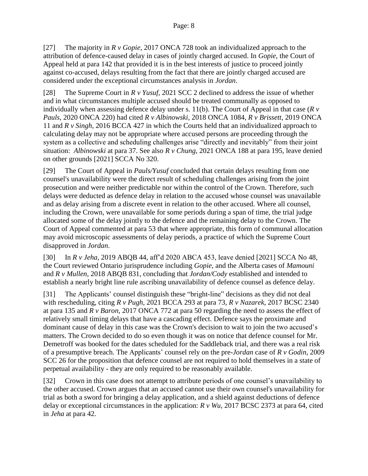[27] The majority in *R v Gopie*, 2017 ONCA 728 took an individualized approach to the attribution of defence-caused delay in cases of jointly charged accused. In *Gopie*, the Court of Appeal held at para 142 that provided it is in the best interests of justice to proceed jointly against co-accused, delays resulting from the fact that there are jointly charged accused are considered under the exceptional circumstances analysis in *Jordan*.

[28] The Supreme Court in *R v Yusuf*, 2021 SCC 2 declined to address the issue of whether and in what circumstances multiple accused should be treated communally as opposed to individually when assessing defence delay under s. 11(b). The Court of Appeal in that case (*R v Pauls*, 2020 ONCA 220) had cited *R v Albinowski*, 2018 ONCA 1084, *R v Brissett*, 2019 ONCA 11 and *R v Singh*, 2016 BCCA 427 in which the Courts held that an individualized approach to calculating delay may not be appropriate where accused persons are proceeding through the system as a collective and scheduling challenges arise "directly and inevitably" from their joint situation: *Albinowski* at para 37. See also *R v Chung*, 2021 ONCA 188 at para 195, leave denied on other grounds [2021] SCCA No 320.

[29] The Court of Appeal in *Pauls/Yusuf* concluded that certain delays resulting from one counsel's unavailability were the direct result of scheduling challenges arising from the joint prosecution and were neither predictable nor within the control of the Crown. Therefore, such delays were deducted as defence delay in relation to the accused whose counsel was unavailable and as delay arising from a discrete event in relation to the other accused. Where all counsel, including the Crown, were unavailable for some periods during a span of time, the trial judge allocated some of the delay jointly to the defence and the remaining delay to the Crown. The Court of Appeal commented at para 53 that where appropriate, this form of communal allocation may avoid microscopic assessments of delay periods, a practice of which the Supreme Court disapproved in *Jordan*.

[30] In *R v Jeha*, 2019 ABQB 44, aff'd 2020 ABCA 453, leave denied [2021] SCCA No 48, the Court reviewed Ontario jurisprudence including *Gopie*, and the Alberta cases of *Mamouni* and *R v Mullen*, 2018 ABQB 831, concluding that *Jordan/Cody* established and intended to establish a nearly bright line rule ascribing unavailability of defence counsel as defence delay.

[31] The Applicants' counsel distinguish these "bright-line" decisions as they did not deal with rescheduling, citing *R v Pugh*, 2021 BCCA 293 at para 73, *R v Nazarek*, 2017 BCSC 2340 at para 135 and *R v Baron*, 2017 ONCA 772 at para 50 regarding the need to assess the effect of relatively small timing delays that have a cascading effect. Defence says the proximate and dominant cause of delay in this case was the Crown's decision to wait to join the two accused's matters. The Crown decided to do so even though it was on notice that defence counsel for Mr. Demetroff was booked for the dates scheduled for the Saddleback trial, and there was a real risk of a presumptive breach. The Applicants' counsel rely on the pre-*Jordan* case of *R v Godin*, 2009 SCC 26 for the proposition that defence counsel are not required to hold themselves in a state of perpetual availability - they are only required to be reasonably available.

[32] Crown in this case does not attempt to attribute periods of one counsel's unavailability to the other accused. Crown argues that an accused cannot use their own counsel's unavailability for trial as both a sword for bringing a delay application, and a shield against deductions of defence delay or exceptional circumstances in the application: *R v Wu*, 2017 BCSC 2373 at para 64, cited in *Jeha* at para 42.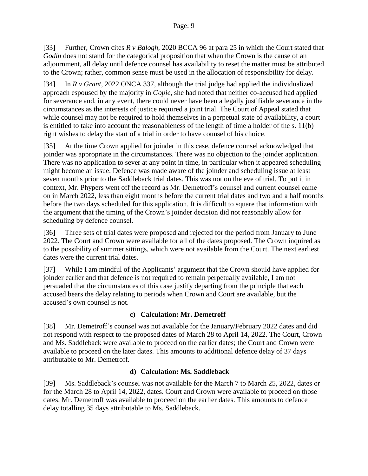[33] Further, Crown cites *R v Balogh*, 2020 BCCA 96 at para 25 in which the Court stated that *Godin* does not stand for the categorical proposition that when the Crown is the cause of an adjournment, all delay until defence counsel has availability to reset the matter must be attributed to the Crown; rather, common sense must be used in the allocation of responsibility for delay.

[34] In *R v Grant*, 2022 ONCA 337, although the trial judge had applied the individualized approach espoused by the majority in *Gopie*, she had noted that neither co-accused had applied for severance and, in any event, there could never have been a legally justifiable severance in the circumstances as the interests of justice required a joint trial. The Court of Appeal stated that while counsel may not be required to hold themselves in a perpetual state of availability, a court is entitled to take into account the reasonableness of the length of time a holder of the s. 11(b) right wishes to delay the start of a trial in order to have counsel of his choice.

[35] At the time Crown applied for joinder in this case, defence counsel acknowledged that joinder was appropriate in the circumstances. There was no objection to the joinder application. There was no application to sever at any point in time, in particular when it appeared scheduling might become an issue. Defence was made aware of the joinder and scheduling issue at least seven months prior to the Saddleback trial dates. This was not on the eve of trial. To put it in context, Mr. Phypers went off the record as Mr. Demetroff's counsel and current counsel came on in March 2022, less than eight months before the current trial dates and two and a half months before the two days scheduled for this application. It is difficult to square that information with the argument that the timing of the Crown's joinder decision did not reasonably allow for scheduling by defence counsel.

[36] Three sets of trial dates were proposed and rejected for the period from January to June 2022. The Court and Crown were available for all of the dates proposed. The Crown inquired as to the possibility of summer sittings, which were not available from the Court. The next earliest dates were the current trial dates.

[37] While I am mindful of the Applicants' argument that the Crown should have applied for joinder earlier and that defence is not required to remain perpetually available, I am not persuaded that the circumstances of this case justify departing from the principle that each accused bears the delay relating to periods when Crown and Court are available, but the accused's own counsel is not.

## **c) Calculation: Mr. Demetroff**

[38] Mr. Demetroff's counsel was not available for the January/February 2022 dates and did not respond with respect to the proposed dates of March 28 to April 14, 2022. The Court, Crown and Ms. Saddleback were available to proceed on the earlier dates; the Court and Crown were available to proceed on the later dates. This amounts to additional defence delay of 37 days attributable to Mr. Demetroff.

## **d) Calculation: Ms. Saddleback**

[39] Ms. Saddleback's counsel was not available for the March 7 to March 25, 2022, dates or for the March 28 to April 14, 2022, dates. Court and Crown were available to proceed on those dates. Mr. Demetroff was available to proceed on the earlier dates. This amounts to defence delay totalling 35 days attributable to Ms. Saddleback.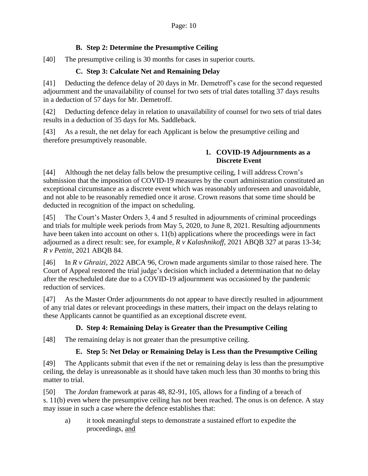## **B. Step 2: Determine the Presumptive Ceiling**

[40] The presumptive ceiling is 30 months for cases in superior courts.

## **C. Step 3: Calculate Net and Remaining Delay**

[41] Deducting the defence delay of 20 days in Mr. Demetroff's case for the second requested adjournment and the unavailability of counsel for two sets of trial dates totalling 37 days results in a deduction of 57 days for Mr. Demetroff.

[42] Deducting defence delay in relation to unavailability of counsel for two sets of trial dates results in a deduction of 35 days for Ms. Saddleback.

[43] As a result, the net delay for each Applicant is below the presumptive ceiling and therefore presumptively reasonable.

#### **1. COVID-19 Adjournments as a Discrete Event**

[44] Although the net delay falls below the presumptive ceiling, I will address Crown's submission that the imposition of COVID-19 measures by the court administration constituted an exceptional circumstance as a discrete event which was reasonably unforeseen and unavoidable, and not able to be reasonably remedied once it arose. Crown reasons that some time should be deducted in recognition of the impact on scheduling.

[45] The Court's Master Orders 3, 4 and 5 resulted in adjournments of criminal proceedings and trials for multiple week periods from May 5, 2020, to June 8, 2021. Resulting adjournments have been taken into account on other s. 11(b) applications where the proceedings were in fact adjourned as a direct result: see, for example, *R v Kalashnikoff*, 2021 ABQB 327 at paras 13-34; *R v Pettitt*, 2021 ABQB 84.

[46] In *R v Ghraizi*, 2022 ABCA 96, Crown made arguments similar to those raised here. The Court of Appeal restored the trial judge's decision which included a determination that no delay after the rescheduled date due to a COVID-19 adjournment was occasioned by the pandemic reduction of services.

[47] As the Master Order adjournments do not appear to have directly resulted in adjournment of any trial dates or relevant proceedings in these matters, their impact on the delays relating to these Applicants cannot be quantified as an exceptional discrete event.

# **D. Step 4: Remaining Delay is Greater than the Presumptive Ceiling**

[48] The remaining delay is not greater than the presumptive ceiling.

# **E. Step 5: Net Delay or Remaining Delay is Less than the Presumptive Ceiling**

[49] The Applicants submit that even if the net or remaining delay is less than the presumptive ceiling, the delay is unreasonable as it should have taken much less than 30 months to bring this matter to trial.

[50] The *Jordan* framework at paras 48, 82-91, 105, allows for a finding of a breach of s. 11(b) even where the presumptive ceiling has not been reached. The onus is on defence. A stay may issue in such a case where the defence establishes that:

a) it took meaningful steps to demonstrate a sustained effort to expedite the proceedings, and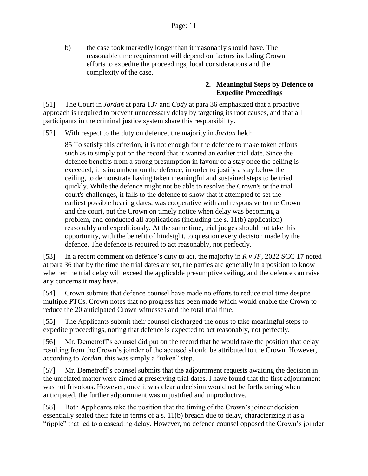b) the case took markedly longer than it reasonably should have. The reasonable time requirement will depend on factors including Crown efforts to expedite the proceedings, local considerations and the complexity of the case.

#### **2. Meaningful Steps by Defence to Expedite Proceedings**

[51] The Court in *Jordan* at para 137 and *Cody* at para 36 emphasized that a proactive approach is required to prevent unnecessary delay by targeting its root causes, and that all participants in the criminal justice system share this responsibility.

[52] With respect to the duty on defence, the majority in *Jordan* held:

85 To satisfy this criterion, it is not enough for the defence to make token efforts such as to simply put on the record that it wanted an earlier trial date. Since the defence benefits from a strong presumption in favour of a stay once the ceiling is exceeded, it is incumbent on the defence, in order to justify a stay below the ceiling, to demonstrate having taken meaningful and sustained steps to be tried quickly. While the defence might not be able to resolve the Crown's or the trial court's challenges, it falls to the defence to show that it attempted to set the earliest possible hearing dates, was cooperative with and responsive to the Crown and the court, put the Crown on timely notice when delay was becoming a problem, and conducted all applications (including the s. 11(b) application) reasonably and expeditiously. At the same time, trial judges should not take this opportunity, with the benefit of hindsight, to question every decision made by the defence. The defence is required to act reasonably, not perfectly.

[53] In a recent comment on defence's duty to act, the majority in *R v JF*, 2022 SCC 17 noted at para 36 that by the time the trial dates are set, the parties are generally in a position to know whether the trial delay will exceed the applicable presumptive ceiling, and the defence can raise any concerns it may have.

[54] Crown submits that defence counsel have made no efforts to reduce trial time despite multiple PTCs. Crown notes that no progress has been made which would enable the Crown to reduce the 20 anticipated Crown witnesses and the total trial time.

[55] The Applicants submit their counsel discharged the onus to take meaningful steps to expedite proceedings, noting that defence is expected to act reasonably, not perfectly.

[56] Mr. Demetroff's counsel did put on the record that he would take the position that delay resulting from the Crown's joinder of the accused should be attributed to the Crown. However, according to *Jordan*, this was simply a "token" step.

[57] Mr. Demetroff's counsel submits that the adjournment requests awaiting the decision in the unrelated matter were aimed at preserving trial dates. I have found that the first adjournment was not frivolous. However, once it was clear a decision would not be forthcoming when anticipated, the further adjournment was unjustified and unproductive.

[58] Both Applicants take the position that the timing of the Crown's joinder decision essentially sealed their fate in terms of a s. 11(b) breach due to delay, characterizing it as a "ripple" that led to a cascading delay. However, no defence counsel opposed the Crown's joinder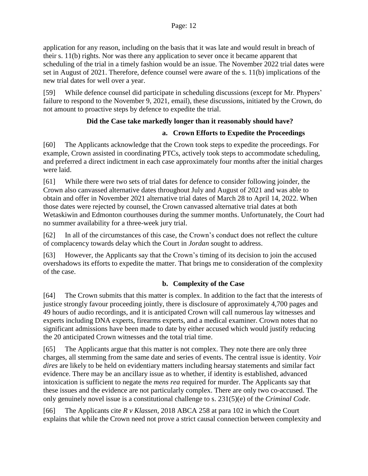application for any reason, including on the basis that it was late and would result in breach of their s. 11(b) rights. Nor was there any application to sever once it became apparent that scheduling of the trial in a timely fashion would be an issue. The November 2022 trial dates were set in August of 2021. Therefore, defence counsel were aware of the s. 11(b) implications of the new trial dates for well over a year.

[59] While defence counsel did participate in scheduling discussions (except for Mr. Phypers' failure to respond to the November 9, 2021, email), these discussions, initiated by the Crown, do not amount to proactive steps by defence to expedite the trial.

# **Did the Case take markedly longer than it reasonably should have?**

## **a. Crown Efforts to Expedite the Proceedings**

[60] The Applicants acknowledge that the Crown took steps to expedite the proceedings. For example, Crown assisted in coordinating PTCs, actively took steps to accommodate scheduling, and preferred a direct indictment in each case approximately four months after the initial charges were laid.

[61] While there were two sets of trial dates for defence to consider following joinder, the Crown also canvassed alternative dates throughout July and August of 2021 and was able to obtain and offer in November 2021 alternative trial dates of March 28 to April 14, 2022. When those dates were rejected by counsel, the Crown canvassed alternative trial dates at both Wetaskiwin and Edmonton courthouses during the summer months. Unfortunately, the Court had no summer availability for a three-week jury trial.

[62] In all of the circumstances of this case, the Crown's conduct does not reflect the culture of complacency towards delay which the Court in *Jordan* sought to address.

[63] However, the Applicants say that the Crown's timing of its decision to join the accused overshadows its efforts to expedite the matter. That brings me to consideration of the complexity of the case.

# **b. Complexity of the Case**

[64] The Crown submits that this matter is complex. In addition to the fact that the interests of justice strongly favour proceeding jointly, there is disclosure of approximately 4,700 pages and 49 hours of audio recordings, and it is anticipated Crown will call numerous lay witnesses and experts including DNA experts, firearms experts, and a medical examiner. Crown notes that no significant admissions have been made to date by either accused which would justify reducing the 20 anticipated Crown witnesses and the total trial time.

[65] The Applicants argue that this matter is not complex. They note there are only three charges, all stemming from the same date and series of events. The central issue is identity. *Voir dires* are likely to be held on evidentiary matters including hearsay statements and similar fact evidence. There may be an ancillary issue as to whether, if identity is established, advanced intoxication is sufficient to negate the *mens rea* required for murder. The Applicants say that these issues and the evidence are not particularly complex. There are only two co-accused. The only genuinely novel issue is a constitutional challenge to s. 231(5)(e) of the *Criminal Code*.

[66] The Applicants cite *R v Klassen*, 2018 ABCA 258 at para 102 in which the Court explains that while the Crown need not prove a strict causal connection between complexity and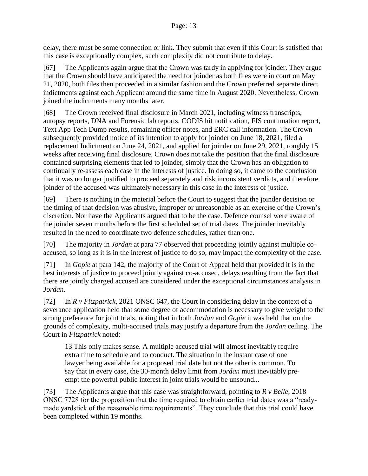#### Page: 13

delay, there must be some connection or link. They submit that even if this Court is satisfied that this case is exceptionally complex, such complexity did not contribute to delay.

[67] The Applicants again argue that the Crown was tardy in applying for joinder. They argue that the Crown should have anticipated the need for joinder as both files were in court on May 21, 2020, both files then proceeded in a similar fashion and the Crown preferred separate direct indictments against each Applicant around the same time in August 2020. Nevertheless, Crown joined the indictments many months later.

[68] The Crown received final disclosure in March 2021, including witness transcripts, autopsy reports, DNA and Forensic lab reports, CODIS hit notification, FIS continuation report, Text App Tech Dump results, remaining officer notes, and ERC call information. The Crown subsequently provided notice of its intention to apply for joinder on June 18, 2021, filed a replacement Indictment on June 24, 2021, and applied for joinder on June 29, 2021, roughly 15 weeks after receiving final disclosure. Crown does not take the position that the final disclosure contained surprising elements that led to joinder, simply that the Crown has an obligation to continually re-assess each case in the interests of justice. In doing so, it came to the conclusion that it was no longer justified to proceed separately and risk inconsistent verdicts, and therefore joinder of the accused was ultimately necessary in this case in the interests of justice.

[69] There is nothing in the material before the Court to suggest that the joinder decision or the timing of that decision was abusive, improper or unreasonable as an exercise of the Crown's discretion. Nor have the Applicants argued that to be the case. Defence counsel were aware of the joinder seven months before the first scheduled set of trial dates. The joinder inevitably resulted in the need to coordinate two defence schedules, rather than one.

[70] The majority in *Jordan* at para 77 observed that proceeding jointly against multiple coaccused, so long as it is in the interest of justice to do so, may impact the complexity of the case.

[71] In *Gopie* at para 142, the majority of the Court of Appeal held that provided it is in the best interests of justice to proceed jointly against co-accused, delays resulting from the fact that there are jointly charged accused are considered under the exceptional circumstances analysis in *Jordan*.

[72] In *R v Fitzpatrick*, 2021 ONSC 647, the Court in considering delay in the context of a severance application held that some degree of accommodation is necessary to give weight to the strong preference for joint trials, noting that in both *Jordan* and *Gopie* it was held that on the grounds of complexity, multi-accused trials may justify a departure from the *Jordan* ceiling. The Court in *Fitzpatrick* noted:

13 This only makes sense. A multiple accused trial will almost inevitably require extra time to schedule and to conduct. The situation in the instant case of one lawyer being available for a proposed trial date but not the other is common. To say that in every case, the 30-month delay limit from *Jordan* must inevitably preempt the powerful public interest in joint trials would be unsound...

[73] The Applicants argue that this case was straightforward, pointing to *R v Belle*, 2018 ONSC 7728 for the proposition that the time required to obtain earlier trial dates was a "readymade yardstick of the reasonable time requirements". They conclude that this trial could have been completed within 19 months.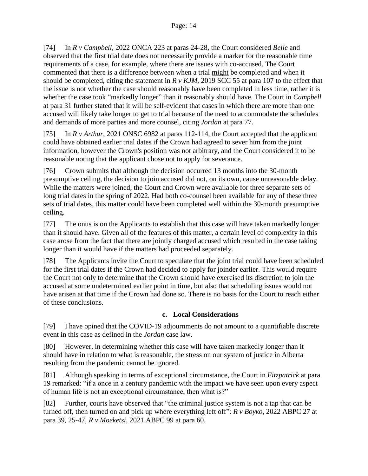[74] In *R v Campbell*, 2022 ONCA 223 at paras 24-28, the Court considered *Belle* and observed that the first trial date does not necessarily provide a marker for the reasonable time requirements of a case, for example, where there are issues with co-accused. The Court commented that there is a difference between when a trial might be completed and when it should be completed, citing the statement in *R v KJM*, 2019 SCC 55 at para 107 to the effect that the issue is not whether the case should reasonably have been completed in less time, rather it is whether the case took "markedly longer" than it reasonably should have. The Court in *Campbell* at para 31 further stated that it will be self-evident that cases in which there are more than one accused will likely take longer to get to trial because of the need to accommodate the schedules and demands of more parties and more counsel, citing *Jordan* at para 77.

[75] In *R v Arthur*, 2021 ONSC 6982 at paras 112-114, the Court accepted that the applicant could have obtained earlier trial dates if the Crown had agreed to sever him from the joint information, however the Crown's position was not arbitrary, and the Court considered it to be reasonable noting that the applicant chose not to apply for severance.

[76] Crown submits that although the decision occurred 13 months into the 30-month presumptive ceiling, the decision to join accused did not, on its own, cause unreasonable delay. While the matters were joined, the Court and Crown were available for three separate sets of long trial dates in the spring of 2022. Had both co-counsel been available for any of these three sets of trial dates, this matter could have been completed well within the 30-month presumptive ceiling.

[77] The onus is on the Applicants to establish that this case will have taken markedly longer than it should have. Given all of the features of this matter, a certain level of complexity in this case arose from the fact that there are jointly charged accused which resulted in the case taking longer than it would have if the matters had proceeded separately.

[78] The Applicants invite the Court to speculate that the joint trial could have been scheduled for the first trial dates if the Crown had decided to apply for joinder earlier. This would require the Court not only to determine that the Crown should have exercised its discretion to join the accused at some undetermined earlier point in time, but also that scheduling issues would not have arisen at that time if the Crown had done so. There is no basis for the Court to reach either of these conclusions.

# **c. Local Considerations**

[79] I have opined that the COVID-19 adjournments do not amount to a quantifiable discrete event in this case as defined in the *Jordan* case law.

[80] However, in determining whether this case will have taken markedly longer than it should have in relation to what is reasonable, the stress on our system of justice in Alberta resulting from the pandemic cannot be ignored.

[81] Although speaking in terms of exceptional circumstance, the Court in *Fitzpatrick* at para 19 remarked: "if a once in a century pandemic with the impact we have seen upon every aspect of human life is not an exceptional circumstance, then what is?"

[82] Further, courts have observed that "the criminal justice system is not a tap that can be turned off, then turned on and pick up where everything left off": *R v Boyko*, 2022 ABPC 27 at para 39, 25-47, *R v Moeketsi*, 2021 ABPC 99 at para 60.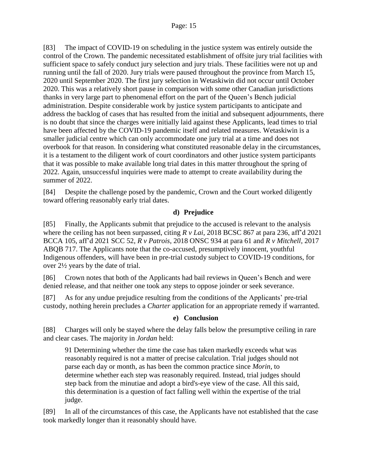[83] The impact of COVID-19 on scheduling in the justice system was entirely outside the control of the Crown. The pandemic necessitated establishment of offsite jury trial facilities with sufficient space to safely conduct jury selection and jury trials. These facilities were not up and running until the fall of 2020. Jury trials were paused throughout the province from March 15, 2020 until September 2020. The first jury selection in Wetaskiwin did not occur until October 2020. This was a relatively short pause in comparison with some other Canadian jurisdictions thanks in very large part to phenomenal effort on the part of the Queen's Bench judicial administration. Despite considerable work by justice system participants to anticipate and address the backlog of cases that has resulted from the initial and subsequent adjournments, there is no doubt that since the charges were initially laid against these Applicants, lead times to trial have been affected by the COVID-19 pandemic itself and related measures. Wetaskiwin is a smaller judicial centre which can only accommodate one jury trial at a time and does not overbook for that reason. In considering what constituted reasonable delay in the circumstances, it is a testament to the diligent work of court coordinators and other justice system participants that it was possible to make available long trial dates in this matter throughout the spring of 2022. Again, unsuccessful inquiries were made to attempt to create availability during the summer of 2022.

[84] Despite the challenge posed by the pandemic, Crown and the Court worked diligently toward offering reasonably early trial dates.

## **d) Prejudice**

[85] Finally, the Applicants submit that prejudice to the accused is relevant to the analysis where the ceiling has not been surpassed, citing *R v Lai*, 2018 BCSC 867 at para 236, aff'd 2021 BCCA 105, aff'd 2021 SCC 52, *R v Patrois*, 2018 ONSC 934 at para 61 and *R v Mitchell*, 2017 ABQB 717. The Applicants note that the co-accused, presumptively innocent, youthful Indigenous offenders, will have been in pre-trial custody subject to COVID-19 conditions, for over 2½ years by the date of trial.

[86] Crown notes that both of the Applicants had bail reviews in Queen's Bench and were denied release, and that neither one took any steps to oppose joinder or seek severance.

[87] As for any undue prejudice resulting from the conditions of the Applicants' pre-trial custody, nothing herein precludes a *Charter* application for an appropriate remedy if warranted.

## **e) Conclusion**

[88] Charges will only be stayed where the delay falls below the presumptive ceiling in rare and clear cases. The majority in *Jordan* held:

91 Determining whether the time the case has taken markedly exceeds what was reasonably required is not a matter of precise calculation. Trial judges should not parse each day or month, as has been the common practice since *Morin*, to determine whether each step was reasonably required. Instead, trial judges should step back from the minutiae and adopt a bird's-eye view of the case. All this said, this determination is a question of fact falling well within the expertise of the trial judge.

[89] In all of the circumstances of this case, the Applicants have not established that the case took markedly longer than it reasonably should have.